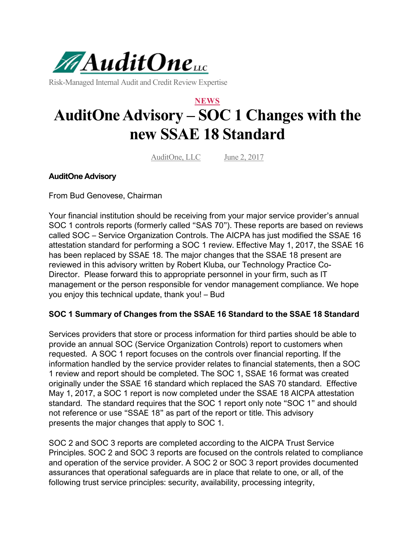

Risk-Managed Internal Audit and Credit Review Expertise

# **NEWS AuditOne Advisory – SOC 1 Changes with the new SSAE 18 Standard**

AuditOne, LLC June 2, 2017

## **AuditOne Advisory**

From Bud Genovese, Chairman

Your financial institution should be receiving from your major service provider's annual SOC 1 controls reports (formerly called "SAS 70"). These reports are based on reviews called SOC – Service Organization Controls. The AICPA has just modified the SSAE 16 attestation standard for performing a SOC 1 review. Effective May 1, 2017, the SSAE 16 has been replaced by SSAE 18. The major changes that the SSAE 18 present are reviewed in this advisory written by Robert Kluba, our Technology Practice Co-Director. Please forward this to appropriate personnel in your firm, such as IT management or the person responsible for vendor management compliance. We hope you enjoy this technical update, thank you! – Bud

## **SOC 1 Summary of Changes from the SSAE 16 Standard to the SSAE 18 Standard**

Services providers that store or process information for third parties should be able to provide an annual SOC (Service Organization Controls) report to customers when requested. A SOC 1 report focuses on the controls over financial reporting. If the information handled by the service provider relates to financial statements, then a SOC 1 review and report should be completed. The SOC 1, SSAE 16 format was created originally under the SSAE 16 standard which replaced the SAS 70 standard. Effective May 1, 2017, a SOC 1 report is now completed under the SSAE 18 AICPA attestation standard. The standard requires that the SOC 1 report only note "SOC 1" and should not reference or use "SSAE 18" as part of the report or title. This advisory presents the major changes that apply to SOC 1.

SOC 2 and SOC 3 reports are completed according to the AICPA Trust Service Principles. SOC 2 and SOC 3 reports are focused on the controls related to compliance and operation of the service provider. A SOC 2 or SOC 3 report provides documented assurances that operational safeguards are in place that relate to one, or all, of the following trust service principles: security, availability, processing integrity,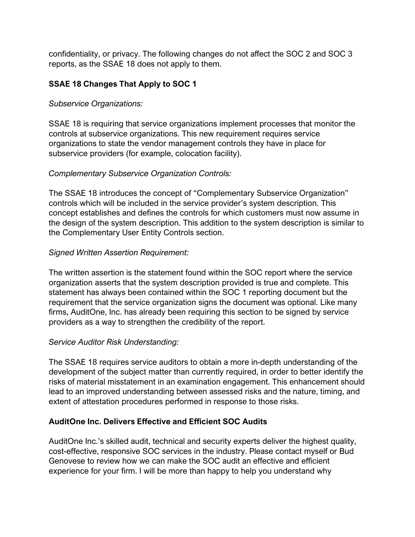confidentiality, or privacy. The following changes do not affect the SOC 2 and SOC 3 reports, as the SSAE 18 does not apply to them.

# **SSAE 18 Changes That Apply to SOC 1**

## *Subservice Organizations:*

SSAE 18 is requiring that service organizations implement processes that monitor the controls at subservice organizations. This new requirement requires service organizations to state the vendor management controls they have in place for subservice providers (for example, colocation facility).

# *Complementary Subservice Organization Controls:*

The SSAE 18 introduces the concept of "Complementary Subservice Organization" controls which will be included in the service provider's system description. This concept establishes and defines the controls for which customers must now assume in the design of the system description. This addition to the system description is similar to the Complementary User Entity Controls section.

# *Signed Written Assertion Requirement:*

The written assertion is the statement found within the SOC report where the service organization asserts that the system description provided is true and complete. This statement has always been contained within the SOC 1 reporting document but the requirement that the service organization signs the document was optional. Like many firms, AuditOne, Inc. has already been requiring this section to be signed by service providers as a way to strengthen the credibility of the report.

## *Service Auditor Risk Understanding:*

The SSAE 18 requires service auditors to obtain a more in-depth understanding of the development of the subject matter than currently required, in order to better identify the risks of material misstatement in an examination engagement. This enhancement should lead to an improved understanding between assessed risks and the nature, timing, and extent of attestation procedures performed in response to those risks.

# **AuditOne Inc. Delivers Effective and Efficient SOC Audits**

AuditOne Inc.'s skilled audit, technical and security experts deliver the highest quality, cost-effective, responsive SOC services in the industry. Please contact myself or Bud Genovese to review how we can make the SOC audit an effective and efficient experience for your firm. I will be more than happy to help you understand why